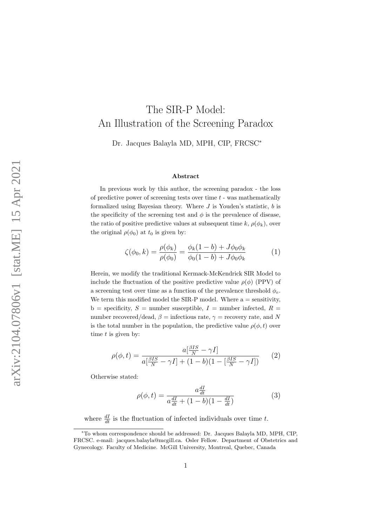# The SIR-P Model: An Illustration of the Screening Paradox

Dr. Jacques Balayla MD, MPH, CIP, FRCSC<sup>∗</sup>

#### Abstract

In previous work by this author, the screening paradox - the loss of predictive power of screening tests over time  $t$  - was mathematically formalized using Bayesian theory. Where  $J$  is Youden's statistic,  $b$  is the specificity of the screening test and  $\phi$  is the prevalence of disease, the ratio of positive predictive values at subsequent time k,  $\rho(\phi_k)$ , over the original  $\rho(\phi_0)$  at  $t_0$  is given by:

$$
\zeta(\phi_0, k) = \frac{\rho(\phi_k)}{\rho(\phi_0)} = \frac{\phi_k(1 - b) + J\phi_0 \phi_k}{\phi_0(1 - b) + J\phi_0 \phi_k} \tag{1}
$$

Herein, we modify the traditional Kermack-McKendrick SIR Model to include the fluctuation of the positive predictive value  $\rho(\phi)$  (PPV) of a screening test over time as a function of the prevalence threshold  $\phi_e$ . We term this modified model the SIR-P model. Where  $a =$  sensitivity,  $b =$  specificity,  $S =$  number susceptible,  $I =$  number infected,  $R =$ number recovered/dead,  $\beta$  = infectious rate,  $\gamma$  = recovery rate, and N is the total number in the population, the predictive value  $\rho(\phi, t)$  over time  $t$  is given by:

$$
\rho(\phi, t) = \frac{a\left[\frac{\beta IS}{N} - \gamma I\right]}{a\left[\frac{\beta IS}{N} - \gamma I\right] + (1 - b)(1 - \left[\frac{\beta IS}{N} - \gamma I\right])} \tag{2}
$$

Otherwise stated:

$$
\rho(\phi, t) = \frac{a \frac{dI}{dt}}{a \frac{dI}{dt} + (1 - b)(1 - \frac{dI}{dt})}
$$
(3)

where  $\frac{dI}{dt}$  is the fluctuation of infected individuals over time t.

<sup>∗</sup>To whom correspondence should be addressed: Dr. Jacques Balayla MD, MPH, CIP, FRCSC. e-mail: jacques.balayla@mcgill.ca. Osler Fellow. Department of Obstetrics and Gynecology. Faculty of Medicine. McGill University, Montreal, Quebec, Canada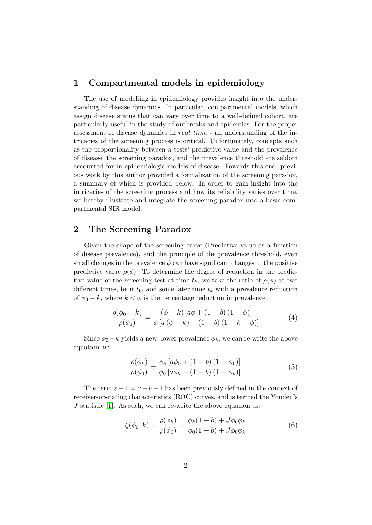#### 1 Compartmental models in epidemiology

The use of modelling in epidemiology provides insight into the understanding of disease dynamics. In particular, compartmental models, which assign disease status that can vary over time to a well-defined cohort, are particularly useful in the study of outbreaks and epidemics. For the proper assessment of disease dynamics in real time - an understanding of the intricacies of the screening process is critical. Unfortunately, concepts such as the proportionality between a tests' predictive value and the prevalence of disease, the screening paradox, and the prevalence threshold are seldom accounted for in epidemiologic models of disease. Towards this end, previous work by this author provided a formalization of the screening paradox, a summary of which is provided below. In order to gain insight into the intricacies of the screening process and how its reliability varies over time, we hereby illustrate and integrate the screening paradox into a basic compartmental SIR model.

#### 2 The Screening Paradox

Given the shape of the screening curve (Predictive value as a function of disease prevalence), and the principle of the prevalence threshold, even small changes in the prevalence  $\phi$  can have significant changes in the positive predictive value  $\rho(\phi)$ . To determine the degree of reduction in the predictive value of the screening test at time  $t_k$ , we take the ratio of  $\rho(\phi)$  at two different times, be it  $t_0$ , and some later time  $t_k$  with a prevalence reduction of  $\phi_0 - k$ , where  $k < \phi$  is the percentage reduction in prevalence:

$$
\frac{\rho(\phi_0 - k)}{\rho(\phi_0)} = \frac{(\phi - k) [a\phi + (1 - b) (1 - \phi)]}{\phi [a (\phi - k) + (1 - b) (1 + k - \phi)]}
$$
(4)

Since  $\phi_0 - k$  yields a new, lower prevalence  $\phi_k$ , we can re-write the above equation as:

$$
\frac{\rho(\phi_k)}{\rho(\phi_0)} = \frac{\phi_k \left[ a\phi_0 + (1 - b)(1 - \phi_0) \right]}{\phi_0 \left[ a\phi_k + (1 - b)(1 - \phi_k) \right]}
$$
(5)

The term  $\varepsilon - 1 = a + b - 1$  has been previously defined in the context of receiver-operating characteristics (ROC) curves, and is termed the Youden's  $J$  statistic [\[1\]](#page-9-0). As such, we can re-write the above equation as:

$$
\zeta(\phi_0, k) = \frac{\rho(\phi_k)}{\rho(\phi_0)} = \frac{\phi_k(1 - b) + J\phi_0 \phi_k}{\phi_0(1 - b) + J\phi_0 \phi_k} \tag{6}
$$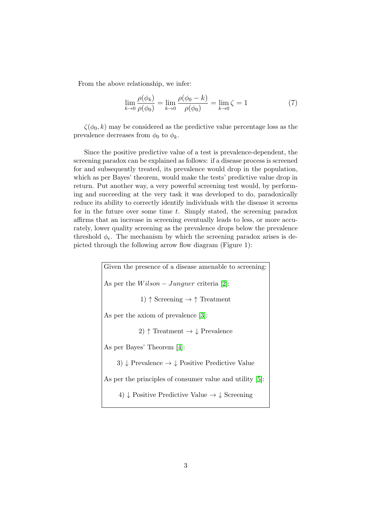From the above relationship, we infer:

$$
\lim_{k \to 0} \frac{\rho(\phi_k)}{\rho(\phi_0)} = \lim_{k \to 0} \frac{\rho(\phi_0 - k)}{\rho(\phi_0)} = \lim_{k \to 0} \zeta = 1
$$
\n(7)

 $\zeta(\phi_0, k)$  may be considered as the predictive value percentage loss as the prevalence decreases from  $\phi_0$  to  $\phi_k$ .

Since the positive predictive value of a test is prevalence-dependent, the screening paradox can be explained as follows: if a disease process is screened for and subsequently treated, its prevalence would drop in the population, which as per Bayes' theorem, would make the tests' predictive value drop in return. Put another way, a very powerful screening test would, by performing and succeeding at the very task it was developed to do, paradoxically reduce its ability to correctly identify individuals with the disease it screens for in the future over some time  $t$ . Simply stated, the screening paradox affirms that an increase in screening eventually leads to less, or more accurately, lower quality screening as the prevalence drops below the prevalence threshold  $\phi_e$ . The mechanism by which the screening paradox arises is depicted through the following arrow flow diagram (Figure 1):

> Given the presence of a disease amenable to screening: As per the  $Wilson - Jungner$  criteria [\[2\]](#page-9-1): 1)  $\uparrow$  Screening  $\rightarrow \uparrow$  Treatment As per the axiom of prevalence [\[3\]](#page-9-2): 2)  $\uparrow$  Treatment  $\rightarrow \downarrow$  Prevalence As per Bayes' Theorem [\[4\]](#page-9-3): 3)  $\downarrow$  Prevalence  $\rightarrow \downarrow$  Positive Predictive Value As per the principles of consumer value and utility [\[5\]](#page-9-4): 4)  $\downarrow$  Positive Predictive Value  $\rightarrow \downarrow$  Screening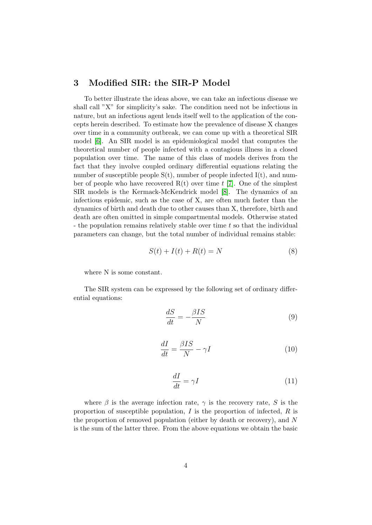### 3 Modified SIR: the SIR-P Model

To better illustrate the ideas above, we can take an infectious disease we shall call "X" for simplicity's sake. The condition need not be infectious in nature, but an infectious agent lends itself well to the application of the concepts herein described. To estimate how the prevalence of disease X changes over time in a community outbreak, we can come up with a theoretical SIR model [\[6\]](#page-9-5). An SIR model is an epidemiological model that computes the theoretical number of people infected with a contagious illness in a closed population over time. The name of this class of models derives from the fact that they involve coupled ordinary differential equations relating the number of susceptible people  $S(t)$ , number of people infected  $I(t)$ , and number of people who have recovered  $R(t)$  over time t [\[7\]](#page-9-6). One of the simplest SIR models is the Kermack-McKendrick model [\[8\]](#page-9-7). The dynamics of an infectious epidemic, such as the case of X, are often much faster than the dynamics of birth and death due to other causes than X, therefore, birth and death are often omitted in simple compartmental models. Otherwise stated - the population remains relatively stable over time t so that the individual parameters can change, but the total number of individual remains stable:

$$
S(t) + I(t) + R(t) = N \tag{8}
$$

where N is some constant.

The SIR system can be expressed by the following set of ordinary differential equations:

$$
\frac{dS}{dt} = -\frac{\beta IS}{N} \tag{9}
$$

$$
\frac{dI}{dt} = \frac{\beta IS}{N} - \gamma I \tag{10}
$$

$$
\frac{dI}{dt} = \gamma I \tag{11}
$$

where  $\beta$  is the average infection rate,  $\gamma$  is the recovery rate, S is the proportion of susceptible population,  $I$  is the proportion of infected,  $R$  is the proportion of removed population (either by death or recovery), and N is the sum of the latter three. From the above equations we obtain the basic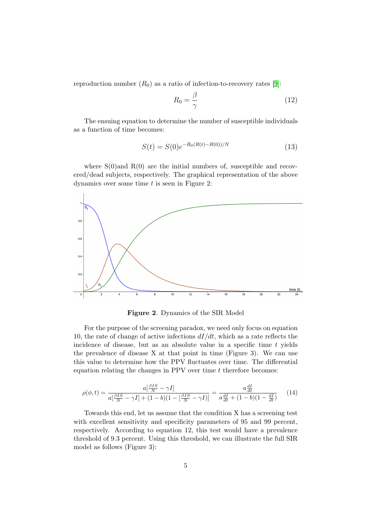reproduction number  $(R_0)$  as a ratio of infection-to-recovery rates [\[9\]](#page-9-8):

$$
R_0 = \frac{\beta}{\gamma} \tag{12}
$$

The ensuing equation to determine the number of susceptible individuals as a function of time becomes:

$$
S(t) = S(0)e^{-R_0(R(t) - R(0))/N}
$$
\n(13)

where  $S(0)$  and  $R(0)$  are the initial numbers of, susceptible and recovered/dead subjects, respectively. The graphical representation of the above dynamics over some time  $t$  is seen in Figure 2:



Figure 2. Dynamics of the SIR Model

For the purpose of the screening paradox, we need only focus on equation 10, the rate of change of active infections  $dI/dt$ , which as a rate reflects the incidence of disease, but as an absolute value in a specific time  $t$  yields the prevalence of disease  $X$  at that point in time (Figure 3). We can use this value to determine how the PPV fluctuates over time. The differential equation relating the changes in PPV over time  $t$  therefore becomes:

$$
\rho(\phi, t) = \frac{a\left[\frac{\beta IS}{N} - \gamma I\right]}{a\left[\frac{\beta IS}{N} - \gamma I\right] + (1 - b)(1 - \left[\frac{\beta IS}{N} - \gamma I\right]\right]} = \frac{a\frac{dI}{dt}}{a\frac{dI}{dt} + (1 - b)(1 - \frac{dI}{dt})} \tag{14}
$$

Towards this end, let us assume that the condition X has a screening test with excellent sensitivity and specificity parameters of 95 and 99 percent, respectively. According to equation 12, this test would have a prevalence threshold of 9.3 percent. Using this threshold, we can illustrate the full SIR model as follows (Figure 3):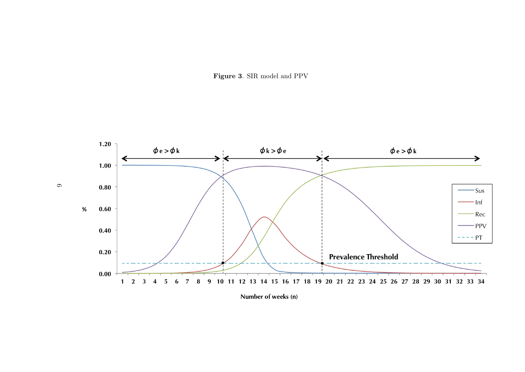

 $\circ$ 



Number of weeks (n)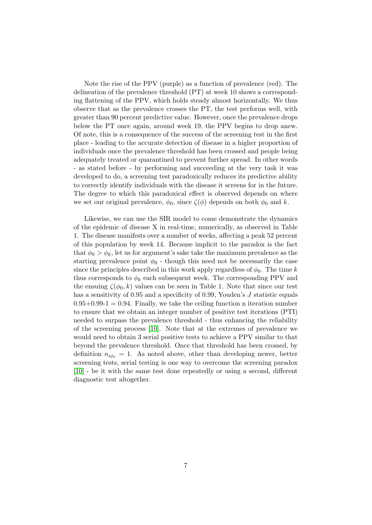Note the rise of the PPV (purple) as a function of prevalence (red). The delineation of the prevalence threshold (PT) at week 10 shows a corresponding flattening of the PPV, which holds steady almost horizontally. We thus observe that as the prevalence crosses the PT, the test performs well, with greater than 90 percent predictive value. However, once the prevalence drops below the PT once again, around week 19, the PPV begins to drop anew. Of note, this is a consequence of the success of the screening test in the first place - leading to the accurate detection of disease in a higher proportion of individuals once the prevalence threshold has been crossed and people being adequately treated or quarantined to prevent further spread. In other words - as stated before - by performing and succeeding at the very task it was developed to do, a screening test paradoxically reduces its predictive ability to correctly identify individuals with the disease it screens for in the future. The degree to which this paradoxical effect is observed depends on where we set our original prevalence,  $\phi_0$ , since  $\zeta(\phi)$  depends on both  $\phi_0$  and k.

Likewise, we can use the SIR model to come demonstrate the dynamics of the epidemic of disease X in real-time, numerically, as observed in Table 1. The disease manifests over a number of weeks, affecting a peak 52 percent of this population by week 14. Because implicit to the paradox is the fact that  $\phi_0 > \phi_k$ , let us for argument's sake take the maximum prevalence as the starting prevalence point  $\phi_0$  - though this need not be necessarily the case since the principles described in this work apply regardless of  $\phi_0$ . The time k thus corresponds to  $\phi_k$  each subsequent week. The corresponding PPV and the ensuing  $\zeta(\phi_0, k)$  values can be seen in Table 1. Note that since our test has a sensitivity of 0.95 and a specificity of 0.99, Youden's J statistic equals  $0.95+0.99-1 = 0.94$ . Finally, we take the ceiling function n iteration number to ensure that we obtain an integer number of positive test iterations (PTI) needed to surpass the prevalence threshold - thus enhancing the reliability of the screening process [\[10\]](#page-9-9). Note that at the extremes of prevalence we would need to obtain 3 serial positive tests to achieve a PPV similar to that beyond the prevalence threshold. Once that threshold has been crossed, by definition  $n_{i\phi_e} = 1$ . As noted above, other than developing newer, better screening tests, serial testing is one way to overcome the screening paradox [\[10\]](#page-9-9) - be it with the same test done repeatedly or using a second, different diagnostic test altogether.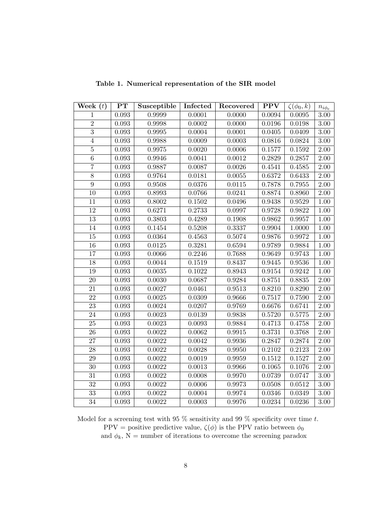| Week $(t)$      | $\mathbf{PT}$ | Susceptible | Infected   | Recovered  | <b>PPV</b>   | $\zeta(\phi_0,k)$ | $n_{i\phi_e}$ |
|-----------------|---------------|-------------|------------|------------|--------------|-------------------|---------------|
| $\mathbf{1}$    | 0.093         | 0.9999      | 0.0001     | 0.0000     | 0.0094       | 0.0095            | $3.00\,$      |
| $\overline{2}$  | 0.093         | 0.9998      | 0.0002     | 0.0000     | 0.0196       | 0.0198            | $3.00\,$      |
| $\overline{3}$  | 0.093         | 0.9995      | 0.0004     | 0.0001     | 0.0405       | 0.0409            | $3.00\,$      |
| $\bf 4$         | 0.093         | 0.9988      | 0.0009     | 0.0003     | 0.0816       | 0.0824            | $3.00\,$      |
| $\bf 5$         | 0.093         | 0.9975      | 0.0020     | 0.0006     | 0.1577       | $0.1592\,$        | $2.00\,$      |
| $\overline{6}$  | 0.093         | 0.9946      | 0.0041     | 0.0012     | 0.2829       | 0.2857            | 2.00          |
| $\overline{7}$  | 0.093         | 0.9887      | 0.0087     | 0.0026     | 0.4541       | 0.4585            | $2.00\,$      |
| $\overline{8}$  | 0.093         | 0.9764      | 0.0181     | $0.0055\,$ | 0.6372       | 0.6433            | $2.00\,$      |
| $\overline{9}$  | $\,0.093\,$   | 0.9508      | 0.0376     | 0.0115     | 0.7878       | 0.7955            | $2.00\,$      |
| 10              | 0.093         | 0.8993      | 0.0766     | 0.0241     | 0.8874       | 0.8960            | $2.00\,$      |
| $\overline{11}$ | 0.093         | 0.8002      | $0.1502\,$ | 0.0496     | 0.9438       | 0.9529            | $1.00\,$      |
| 12              | 0.093         | 0.6271      | 0.2733     | 0.0997     | 0.9728       | 0.9822            | $1.00\,$      |
| $\overline{13}$ | 0.093         | 0.3803      | 0.4289     | 0.1908     | 0.9862       | 0.9957            | $1.00\,$      |
| $14\,$          | 0.093         | 0.1454      | 0.5208     | 0.3337     | 0.9904       | 1.0000            | $1.00\,$      |
| 15              | 0.093         | 0.0364      | 0.4563     | 0.5074     | 0.9876       | 0.9972            | 1.00          |
| $16\,$          | 0.093         | 0.0125      | 0.3281     | 0.6594     | 0.9789       | 0.9884            | 1.00          |
| $17\,$          | 0.093         | 0.0066      | 0.2246     | 0.7688     | 0.9649       | 0.9743            | 1.00          |
| 18              | 0.093         | 0.0044      | 0.1519     | 0.8437     | 0.9445       | 0.9536            | $1.00\,$      |
| 19              | 0.093         | 0.0035      | 0.1022     | 0.8943     | $\,0.9154\,$ | 0.9242            | $1.00\,$      |
| $\overline{20}$ | 0.093         | 0.0030      | 0.0687     | 0.9284     | 0.8751       | 0.8835            | 2.00          |
| 21              | 0.093         | 0.0027      | 0.0461     | 0.9513     | 0.8210       | 0.8290            | 2.00          |
| $\overline{22}$ | 0.093         | 0.0025      | 0.0309     | 0.9666     | 0.7517       | 0.7590            | $2.00\,$      |
| $23\,$          | $\,0.093\,$   | 0.0024      | 0.0207     | 0.9769     | 0.6676       | 0.6741            | $2.00\,$      |
| 24              | 0.093         | 0.0023      | 0.0139     | 0.9838     | 0.5720       | 0.5775            | $2.00\,$      |
| $25\,$          | 0.093         | 0.0023      | 0.0093     | 0.9884     | 0.4713       | 0.4758            | $2.00\,$      |
| $\overline{26}$ | 0.093         | 0.0022      | 0.0062     | 0.9915     | 0.3731       | 0.3768            | $2.00\,$      |
| $\overline{27}$ | 0.093         | 0.0022      | 0.0042     | 0.9936     | 0.2847       | 0.2874            | 2.00          |
| $\overline{28}$ | 0.093         | 0.0022      | 0.0028     | 0.9950     | 0.2102       | 0.2123            | 2.00          |
| 29              | 0.093         | 0.0022      | 0.0019     | 0.9959     | 0.1512       | 0.1527            | 2.00          |
| $\overline{30}$ | $\,0.093\,$   | 0.0022      | 0.0013     | 0.9966     | 0.1065       | 0.1076            | 2.00          |
| $\overline{31}$ | 0.093         | 0.0022      | 0.0008     | 0.9970     | 0.0739       | 0.0747            | $3.00\,$      |
| $\overline{32}$ | 0.093         | 0.0022      | 0.0006     | 0.9973     | 0.0508       | 0.0512            | $3.00\,$      |
| 33              | 0.093         | 0.0022      | 0.0004     | 0.9974     | 0.0346       | 0.0349            | $3.00\,$      |
| $\overline{34}$ | 0.093         | 0.0022      | 0.0003     | 0.9976     | 0.0234       | 0.0236            | $3.00\,$      |

Table 1. Numerical representation of the SIR model

Model for a screening test with 95  $\%$  sensitivity and 99  $\%$  specificity over time t. PPV = positive predictive value,  $\zeta(\phi)$  is the PPV ratio between  $\phi_0$ and  $\phi_k$ , N = number of iterations to overcome the screening paradox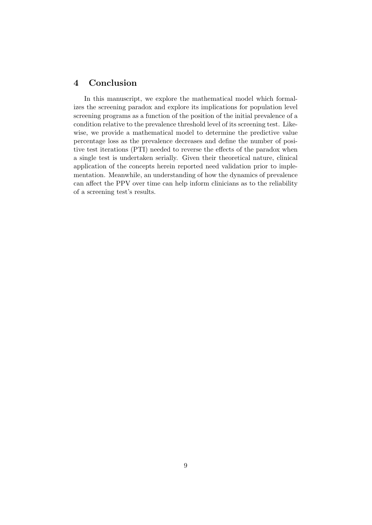## 4 Conclusion

In this manuscript, we explore the mathematical model which formalizes the screening paradox and explore its implications for population level screening programs as a function of the position of the initial prevalence of a condition relative to the prevalence threshold level of its screening test. Likewise, we provide a mathematical model to determine the predictive value percentage loss as the prevalence decreases and define the number of positive test iterations (PTI) needed to reverse the effects of the paradox when a single test is undertaken serially. Given their theoretical nature, clinical application of the concepts herein reported need validation prior to implementation. Meanwhile, an understanding of how the dynamics of prevalence can affect the PPV over time can help inform clinicians as to the reliability of a screening test's results.